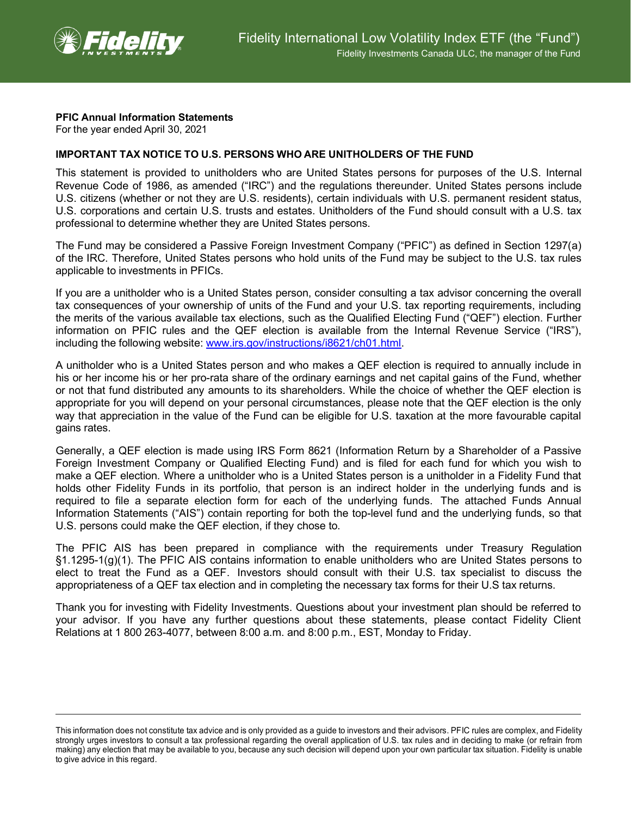

## **PFIC Annual Information Statements**

For the year ended April 30, 2021

## **IMPORTANT TAX NOTICE TO U.S. PERSONS WHO ARE UNITHOLDERS OF THE FUND**

This statement is provided to unitholders who are United States persons for purposes of the U.S. Internal Revenue Code of 1986, as amended ("IRC") and the regulations thereunder. United States persons include U.S. citizens (whether or not they are U.S. residents), certain individuals with U.S. permanent resident status, U.S. corporations and certain U.S. trusts and estates. Unitholders of the Fund should consult with a U.S. tax professional to determine whether they are United States persons.

The Fund may be considered a Passive Foreign Investment Company ("PFIC") as defined in Section 1297(a) of the IRC. Therefore, United States persons who hold units of the Fund may be subject to the U.S. tax rules applicable to investments in PFICs.

If you are a unitholder who is a United States person, consider consulting a tax advisor concerning the overall tax consequences of your ownership of units of the Fund and your U.S. tax reporting requirements, including the merits of the various available tax elections, such as the Qualified Electing Fund ("QEF") election. Further information on PFIC rules and the QEF election is available from the Internal Revenue Service ("IRS"), including the following website: [www.irs.gov/instructions/i8621/ch01.html.](http://www.irs.gov/instructions/i8621/ch01.html)

A unitholder who is a United States person and who makes a QEF election is required to annually include in his or her income his or her pro-rata share of the ordinary earnings and net capital gains of the Fund, whether or not that fund distributed any amounts to its shareholders. While the choice of whether the QEF election is appropriate for you will depend on your personal circumstances, please note that the QEF election is the only way that appreciation in the value of the Fund can be eligible for U.S. taxation at the more favourable capital gains rates.

Generally, a QEF election is made using IRS Form 8621 (Information Return by a Shareholder of a Passive Foreign Investment Company or Qualified Electing Fund) and is filed for each fund for which you wish to make a QEF election. Where a unitholder who is a United States person is a unitholder in a Fidelity Fund that holds other Fidelity Funds in its portfolio, that person is an indirect holder in the underlying funds and is required to file a separate election form for each of the underlying funds. The attached Funds Annual Information Statements ("AIS") contain reporting for both the top-level fund and the underlying funds, so that U.S. persons could make the QEF election, if they chose to.

The PFIC AIS has been prepared in compliance with the requirements under Treasury Regulation §1.1295-1(g)(1). The PFIC AIS contains information to enable unitholders who are United States persons to elect to treat the Fund as a QEF. Investors should consult with their U.S. tax specialist to discuss the appropriateness of a QEF tax election and in completing the necessary tax forms for their U.S tax returns.

Thank you for investing with Fidelity Investments. Questions about your investment plan should be referred to your advisor. If you have any further questions about these statements, please contact Fidelity Client Relations at 1 800 263-4077, between 8:00 a.m. and 8:00 p.m., EST, Monday to Friday.

This information does not constitute tax advice and is only provided as a guide to investors and their advisors. PFIC rules are complex, and Fidelity strongly urges investors to consult a tax professional regarding the overall application of U.S. tax rules and in deciding to make (or refrain from making) any election that may be available to you, because any such decision will depend upon your own particular tax situation. Fidelity is unable to give advice in this regard.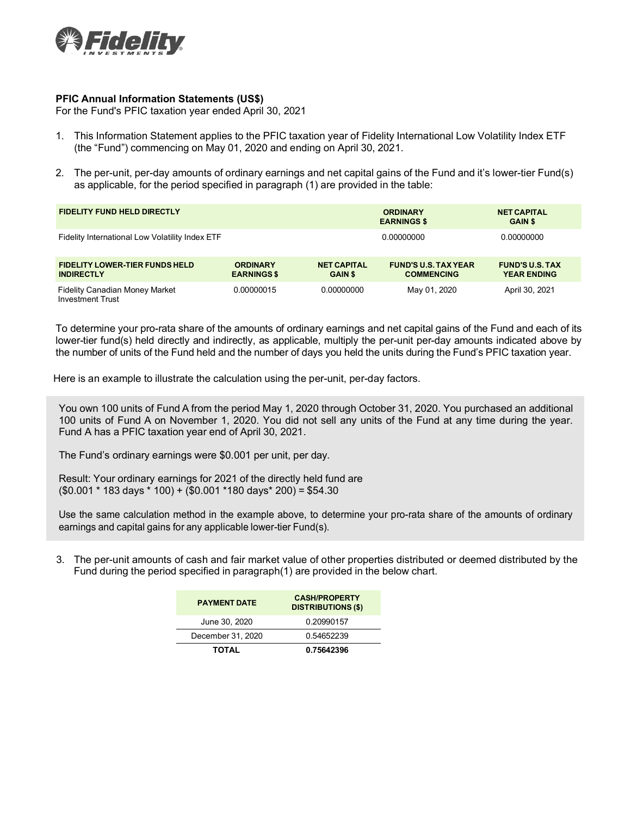

## **PFIC Annual Information Statements (US\$)**

For the Fund's PFIC taxation year ended April 30, 2021

- 1. This Information Statement applies to the PFIC taxation year of Fidelity International Low Volatility Index ETF (the "Fund") commencing on May 01, 2020 and ending on April 30, 2021.
- 2. The per-unit, per-day amounts of ordinary earnings and net capital gains of the Fund and it's lower-tier Fund(s) as applicable, for the period specified in paragraph (1) are provided in the table:

| <b>FIDELITY FUND HELD DIRECTLY</b>                               |                                       |                                      | <b>ORDINARY</b><br><b>EARNINGS \$</b>            | <b>NET CAPITAL</b><br><b>GAIN \$</b>         |
|------------------------------------------------------------------|---------------------------------------|--------------------------------------|--------------------------------------------------|----------------------------------------------|
| Fidelity International Low Volatility Index ETF                  |                                       |                                      | 0.00000000                                       | 0.00000000                                   |
| <b>FIDELITY LOWER-TIER FUNDS HELD</b><br><b>INDIRECTLY</b>       | <b>ORDINARY</b><br><b>EARNINGS \$</b> | <b>NET CAPITAL</b><br><b>GAIN \$</b> | <b>FUND'S U.S. TAX YEAR</b><br><b>COMMENCING</b> | <b>FUND'S U.S. TAX</b><br><b>YEAR ENDING</b> |
| <b>Fidelity Canadian Money Market</b><br><b>Investment Trust</b> | 0.00000015                            | 0.00000000                           | May 01, 2020                                     | April 30, 2021                               |

To determine your pro-rata share of the amounts of ordinary earnings and net capital gains of the Fund and each of its lower-tier fund(s) held directly and indirectly, as applicable, multiply the per-unit per-day amounts indicated above by the number of units of the Fund held and the number of days you held the units during the Fund's PFIC taxation year.

Here is an example to illustrate the calculation using the per-unit, per-day factors.

You own 100 units of Fund A from the period May 1, 2020 through October 31, 2020. You purchased an additional 100 units of Fund A on November 1, 2020. You did not sell any units of the Fund at any time during the year. Fund A has a PFIC taxation year end of April 30, 2021.

The Fund's ordinary earnings were \$0.001 per unit, per day.

Result: Your ordinary earnings for 2021 of the directly held fund are (\$0.001 \* 183 days \* 100) + (\$0.001 \*180 days\* 200) = \$54.30

Use the same calculation method in the example above, to determine your pro-rata share of the amounts of ordinary earnings and capital gains for any applicable lower-tier Fund(s).

3. The per-unit amounts of cash and fair market value of other properties distributed or deemed distributed by the Fund during the period specified in paragraph(1) are provided in the below chart.

| <b>PAYMENT DATE</b> | <b>CASH/PROPERTY</b><br><b>DISTRIBUTIONS (\$)</b> |  |  |
|---------------------|---------------------------------------------------|--|--|
| June 30, 2020       | 0.20990157                                        |  |  |
| December 31, 2020   | 0.54652239                                        |  |  |
| <b>TOTAL</b>        | 0.75642396                                        |  |  |